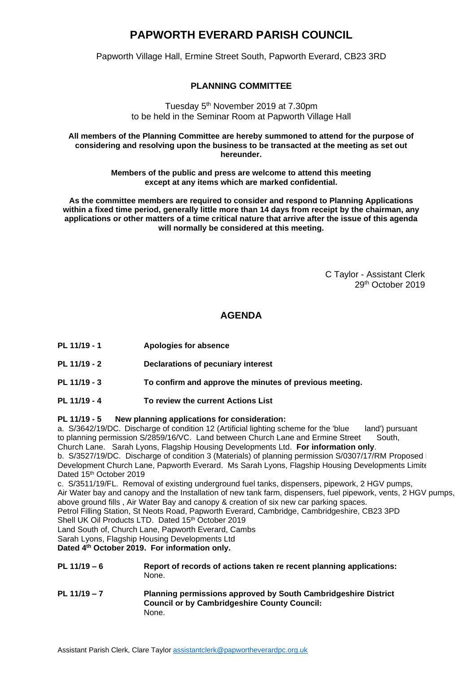## **PAPWORTH EVERARD PARISH COUNCIL**

Papworth Village Hall, Ermine Street South, Papworth Everard, CB23 3RD

## **PLANNING COMMITTEE**

Tuesday 5<sup>th</sup> November 2019 at 7.30pm to be held in the Seminar Room at Papworth Village Hall

**All members of the Planning Committee are hereby summoned to attend for the purpose of considering and resolving upon the business to be transacted at the meeting as set out hereunder.**

> **Members of the public and press are welcome to attend this meeting except at any items which are marked confidential.**

**As the committee members are required to consider and respond to Planning Applications within a fixed time period, generally little more than 14 days from receipt by the chairman, any applications or other matters of a time critical nature that arrive after the issue of this agenda will normally be considered at this meeting.**

> C Taylor - Assistant Clerk 29 th October 2019

## **AGENDA**

- **PL 11/19 - 1 Apologies for absence**
- **PL 11/19 - 2 Declarations of pecuniary interest**
- **PL 11/19 - 3 To confirm and approve the minutes of previous meeting.**
- **PL 11/19 - 4 To review the current Actions List**

## **PL 11/19 - 5 New planning applications for consideration:**

a. S/3642/19/DC. Discharge of condition 12 (Artificial lighting scheme for the 'blue land') pursuant to planning permission S/2859/16/VC. Land between Church Lane and Ermine Street South, Church Lane. Sarah Lyons, Flagship Housing Developments Ltd. **For information only**.

b. S/3527/19/DC. Discharge of condition 3 (Materials) of planning permission S/0307/17/RM Proposed Development S Development Church Lane, Papworth Everard. Ms Sarah Lyons, Flagship Housing Developments Limite Dated 15th October 2019

c. S/3511/19/FL. Removal of existing underground fuel tanks, dispensers, pipework, 2 HGV pumps,

Air Water bay and canopy and the Installation of new tank farm, dispensers, fuel pipework, vents, 2 HGV pumps, above ground fills , Air Water Bay and canopy & creation of six new car parking spaces.

Petrol Filling Station, St Neots Road, Papworth Everard, Cambridge, Cambridgeshire, CB23 3PD

Shell UK Oil Products LTD. Dated 15th October 2019

Land South of, Church Lane, Papworth Everard, Cambs

Sarah Lyons, Flagship Housing Developments Ltd

**Dated 4th October 2019. For information only.**

- **PL 11/19 – 6 Report of records of actions taken re recent planning applications:** None.
- **PL 11/19 – 7 Planning permissions approved by South Cambridgeshire District Council or by Cambridgeshire County Council:** None.